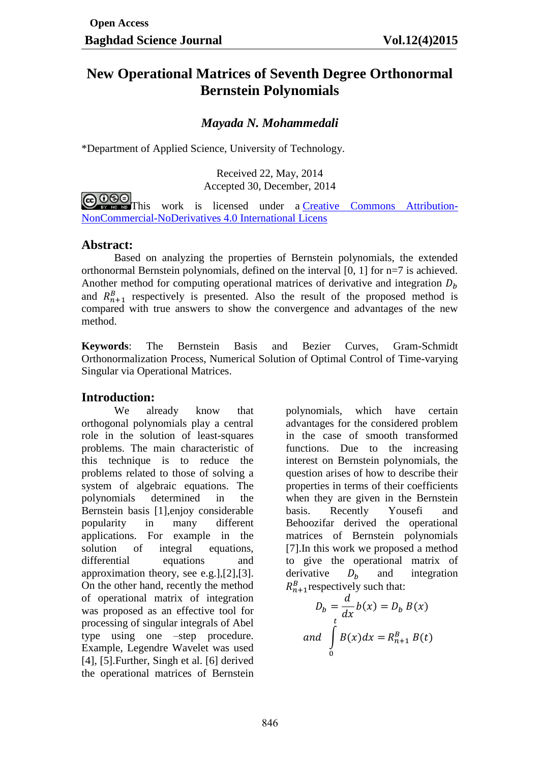# **New Operational Matrices of Seventh Degree Orthonormal Bernstein Polynomials**

### *Mayada N. Mohammedali*

\*Department of Applied Science, University of Technology.

Received 22, May, 2014 Accepted 30, December, 2014

COOSO [T](http://creativecommons.org/licenses/by-nc-nd/4.0/)his work is licensed under a [Creative Commons Attribution-](http://creativecommons.org/licenses/by-nc-nd/4.0/)[NonCommercial-NoDerivatives 4.0 International Licens](http://creativecommons.org/licenses/by-nc-nd/4.0/)

### **Abstract:**

Based on analyzing the properties of Bernstein polynomials, the extended orthonormal Bernstein polynomials, defined on the interval [0, 1] for n=7 is achieved. Another method for computing operational matrices of derivative and integration  $D_h$ and  $R_{n+1}^B$  respectively is presented. Also the result of the proposed method is compared with true answers to show the convergence and advantages of the new method.

**Keywords**: The Bernstein Basis and Bezier Curves, Gram-Schmidt Orthonormalization Process, Numerical Solution of Optimal Control of Time-varying Singular via Operational Matrices.

### **Introduction:**

We already know that orthogonal polynomials play a central role in the solution of least-squares problems. The main characteristic of this technique is to reduce the problems related to those of solving a system of algebraic equations. The polynomials determined in the Bernstein basis [1],enjoy considerable popularity in many different applications. For example in the solution of integral equations, differential equations and approximation theory, see e.g.],[2],[3]. On the other hand, recently the method of operational matrix of integration was proposed as an effective tool for processing of singular integrals of Abel type using one –step procedure. Example, Legendre Wavelet was used [4], [5].Further, Singh et al. [6] derived the operational matrices of Bernstein polynomials, which have certain advantages for the considered problem in the case of smooth transformed functions. Due to the increasing interest on Bernstein polynomials, the question arises of how to describe their properties in terms of their coefficients when they are given in the Bernstein basis. Recently Yousefi and Behoozifar derived the operational matrices of Bernstein polynomials [7].In this work we proposed a method to give the operational matrix of derivative  $D_h$  and integration  $R_{n+1}^B$  respectively such that:

$$
D_b = \frac{d}{dx}b(x) = D_b B(x)
$$
  
and 
$$
\int_{0}^{t} B(x)dx = R_{n+1}^{B} B(t)
$$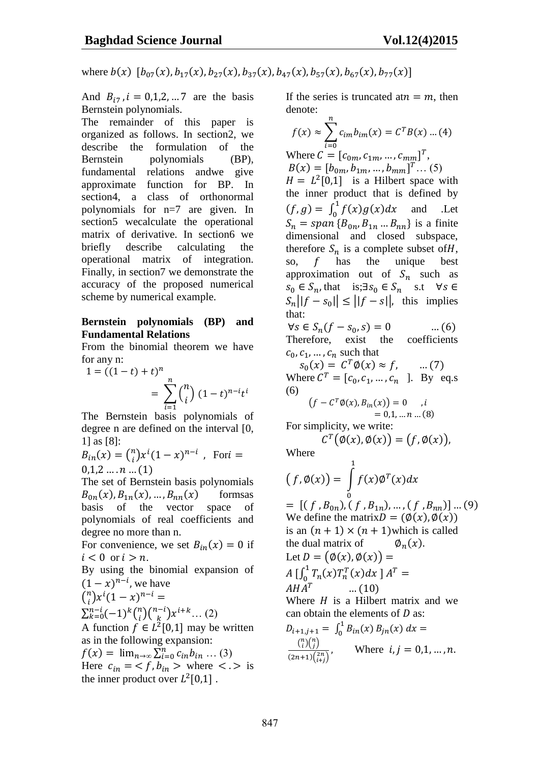where  $b(x)$   $[b_{07}(x), b_{17}(x), b_{27}(x), b_{37}(x), b_{47}(x), b_{57}(x), b_{67}(x), b_{77}(x)]$ 

And  $B_{i7}$ ,  $i = 0,1,2,...7$  are the basis Bernstein polynomials.

The remainder of this paper is organized as follows. In section2, we describe the formulation of the Bernstein polynomials (BP), fundamental relations andwe give approximate function for BP. In section4, a class of orthonormal polynomials for n=7 are given. In section5 wecalculate the operational matrix of derivative. In section6 we briefly describe calculating the operational matrix of integration. Finally, in section7 we demonstrate the accuracy of the proposed numerical scheme by numerical example.

#### **Bernstein polynomials (BP) and Fundamental Relations**

From the binomial theorem we have for any n:

$$
1 = ((1 - t) + t)^n
$$
  
= 
$$
\sum_{i=1}^n {n \choose i} (1 - t)^{n - i} t^i
$$

The Bernstein basis polynomials of degree n are defined on the interval [0, 1] as [8]:

$$
B_{in}(x) = {n \choose i} x^{i} (1-x)^{n-i}
$$
, For  $i = 0,1,2, ..., n \dots (1)$ 

The set of Bernstein basis polynomials  $B_{0n}(x)$ ,  $B_{1n}(x)$ , ...,  $B_{nn}(x)$  formsas basis of the vector space of polynomials of real coefficients and degree no more than n.

For convenience, we set  $B_{in}(x) = 0$  if  $i < 0$  or  $i > n$ .

By using the binomial expansion of  $(1-x)^{n-i}$ , we have

$$
\binom{n}{i} x^i (1-x)^{n-i} =
$$
\n
$$
\sum_{k=0}^{n-i} (-1)^k \binom{n}{i} \binom{n-i}{k} x^{i+k} \dots (2)
$$
\nA function  $f \in L^2[0,1]$  may be written as in the following expansion:\n
$$
f(x) = \lim_{n \to \infty} \sum_{i=0}^{n} c_{in} b_{in} \dots (3)
$$
\nHere  $c_{in} = \langle f, b_{in} \rangle$  where  $\langle \rangle$  is the inner product over  $L^2[0,1]$ .

If the series is truncated at  $m = m$ , then denote:

$$
f(x) \approx \sum_{i=0}^{n} c_{im}b_{im}(x) = C^{T}B(x) \dots (4)
$$
  
Where  $C = [c_{0m}, c_{1m}, ..., c_{mm}]^{T}$ ,  
 $B(x) = [b_{0m}, b_{1m}, ..., b_{mm}]^{T} \dots (5)$   
 $H = L^{2}[0,1]$  is a Hilbert space with  
the inner product that is defined by  
 $(f, g) = \int_{0}^{1} f(x)g(x)dx$  and .Let  
 $S_n = span{B_{0n}, B_{1n}...B_{nn}}$  is a finite  
dimensional and closed subspace,  
therefore  $S_n$  is a complete subset ofH,  
so, f has the unique best  
approximation out of  $S_n$  such as  
 $s_0 \in S_n$ , that is; $\exists s_0 \in S_n$  s.t  $\forall s \in$   
 $S_n || f - s_0 || \le ||f - s||$ , this implies  
that:

 $\forall s \in S_n(f - s_0, s) = 0$  ... (6) Therefore, exist the coefficients  $c_0, c_1, \ldots, c_n$  such that

 $s_0(x) = C^T \phi(x) \approx f,$  ... (7) Where  $C^T = [c_0, c_1, ..., c_n]$ . By eq.s (6)

$$
(f - CT \emptyset(x), B_{in}(x)) = 0 \quad , i = 0,1, ... n ... (8)
$$

For simplicity, we write:

$$
C^{T}(\emptyset(x),\emptyset(x))=(f,\emptyset(x)),
$$

Where

$$
(f, \emptyset(x)) = \int_{0}^{1} f(x) \emptyset^{T}(x) dx
$$

 $=$   $[(f, B_{0n}), (f, B_{1n}), ..., (f, B_{nn})] ... (9)$ We define the matrix  $D = (\phi(x), \phi(x))$ is an  $(n + 1) \times (n + 1)$  which is called the dual matrix of  $\phi_n(x)$ . Let  $D = (\phi(x), \phi(x)) =$  $A\left[\int_0^1 T_n(x)T_n^T(x)dx\right]A^T$  $\bf{0}$ 

$$
AHA^T \qquad \qquad \dots (10)
$$

Where  $H$  is a Hilbert matrix and we can obtain the elements of  $D$  as:

$$
D_{i+1,j+1} = \int_0^1 B_{in}(x) B_{jn}(x) dx =
$$
  

$$
\frac{\binom{n}{i}\binom{n}{j}}{(2n+1)\binom{2n}{i+j}},
$$
 Where  $i, j = 0,1, ..., n$ .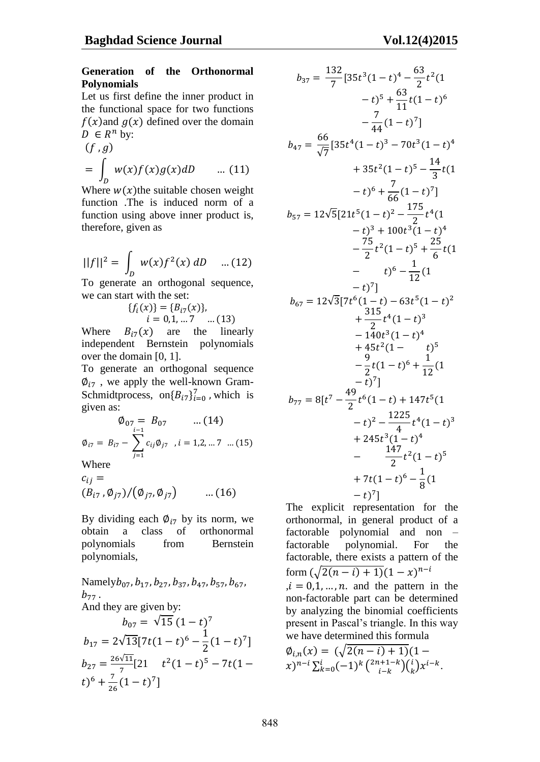Let us first define the inner product in the functional space for two functions  $f(x)$ and  $g(x)$  defined over the domain  $D \in R^n$  by:

$$
(f,g)
$$
  
= 
$$
\int_{D} w(x)f(x)g(x)dB
$$
 ... (11)

Where  $w(x)$ the suitable chosen weight function .The is induced norm of a function using above inner product is, therefore, given as

$$
||f||^2 = \int_D w(x)f^2(x) \, dD \quad \dots (12)
$$

To generate an orthogonal sequence, we can start with the set:

$$
{f_i(x)} = {B_{i7}(x)},
$$
  
 $i = 0,1,...7$  ... (13)

Where  $B_{i7}(x)$  are the linearly independent Bernstein polynomials over the domain [0, 1].

To generate an orthogonal sequence  $\phi_{i7}$ , we apply the well-known Gram-Schmidtprocess, on ${B_{i7}}_{i=0}^7$ , which is given as:

$$
\emptyset_{07} = B_{07} \qquad \dots (14)
$$
  

$$
\emptyset_{i7} = B_{i7} - \sum_{j=1}^{i-1} c_{ij} \emptyset_{j7} \quad, i = 1, 2, \dots 7 \quad \dots (15)
$$

Where

$$
c_{ij} = (B_{i7}, \emptyset_{j7}) / (\emptyset_{j7}, \emptyset_{j7}) \qquad ...(16)
$$

By dividing each  $\phi_{i7}$  by its norm, we obtain a class of orthonormal polynomials from Bernstein polynomials,

Namely $b_{07}$ ,  $b_{17}$ ,  $b_{27}$ ,  $b_{37}$ ,  $b_{47}$ ,  $b_{57}$ ,  $b_{67}$ ,  $b_{77}$ . And they are given by:  $b_{07} = \sqrt{15} (1-t)^7$  $b_{17} = 2\sqrt{13} [7t(1-t)^6 - \frac{1}{2}]$  $\overline{c}$  $(1-t)^7$  $b_{27} = \frac{26\sqrt{1}}{7}$  $\frac{1}{2}$ [21  $t^2(1-t)^5 - 7t(1$  $(t)^6 + \frac{7}{3}$  $\frac{7}{26}(1-t)^7]$ 

$$
b_{37} = \frac{132}{7} [35t^3(1-t)^4 - \frac{63}{2}t^2(1 - t)^5 + \frac{63}{11}t(1-t)^6 - \frac{7}{44}(1-t)^3 - 70t^3(1-t)^4 + 35t^2(1-t)^5 - \frac{14}{3}t(1 - t)^7]
$$
  
\n
$$
b_{47} = \frac{66}{\sqrt{7}} [35t^4(1-t)^3 - 70t^3(1-t)^4 + 35t^2(1-t)^5 - \frac{14}{3}t(1 - t)^6 + \frac{7}{66}(1-t)^7]
$$
  
\n
$$
b_{57} = 12\sqrt{5}[21t^5(1-t)^2 - \frac{175}{2}t^4(1 - t)^3 - \frac{75}{2}t^2(1-t)^5 + \frac{25}{6}t(1 - t)^7]
$$
  
\n
$$
- t)^6 - \frac{1}{12}(1 - t)^7
$$
  
\n
$$
b_{67} = 12\sqrt{3}[7t^6(1-t) - 63t^5(1-t)^2 + \frac{315}{2}t^4(1-t)^3 - \frac{140t^3(1-t)^4}{2} + \frac{45t^2(1-t)^6 + \frac{1}{12}(1 - t)^5 - \frac{9}{2}t(1-t)^6 + \frac{1}{12}(1 - t)^7]
$$
  
\n
$$
b_{77} = 8[t^7 - \frac{49}{2}t^6(1-t) + 147t^5(1 - t)^3 + 245t^3(1-t)^4 - \frac{147}{2}t^2(1-t)^5 + 7t(1-t)^6 - \frac{1}{8}(1 - t)^7]
$$

The explicit representation for the orthonormal, in general product of a factorable polynomial and non – factorable polynomial. For the factorable, there exists a pattern of the form  $(\sqrt{2(n-i)+1})(1-x)^n$  $i = 0, 1, ..., n$  and the pattern in the non-factorable part can be determined by analyzing the binomial coefficients present in Pascal's triangle. In this way we have determined this formula

$$
\varphi_{i,n}(x) = (\sqrt{2(n-i)+1})(1-x)^{n-i} \sum_{k=0}^{i} (-1)^k {2n+1-k \choose i-k} {i \choose k} x^{i-k}.
$$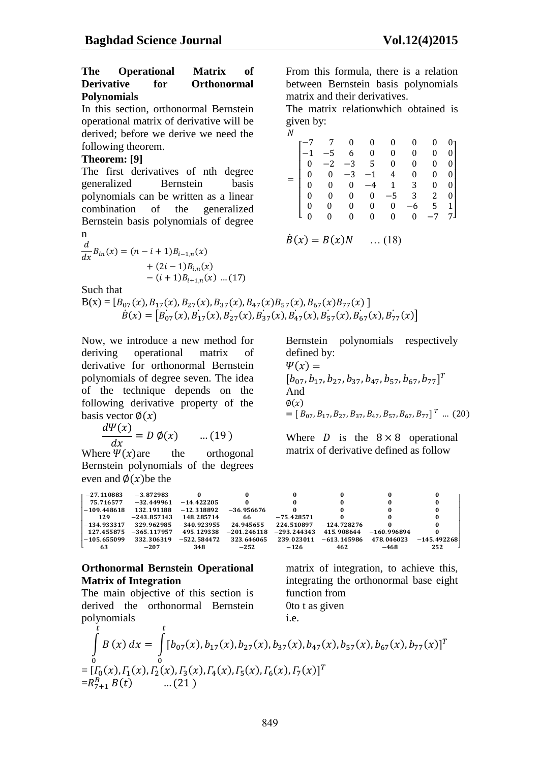#### **The Operational Matrix of Derivative for Orthonormal Polynomials**

In this section, orthonormal Bernstein operational matrix of derivative will be derived; before we derive we need the following theorem.

#### **Theorem: [9]**

The first derivatives of nth degree generalized Bernstein basis polynomials can be written as a linear combination of the generalized Bernstein basis polynomials of degree n

$$
\frac{d}{dx}B_{in}(x) = (n - i + 1)B_{i-1,n}(x) \n+ (2i - 1)B_{i,n}(x) \n- (i + 1)B_{i+1,n}(x) \dots (17)
$$

Such that

$$
B(x) = [B_{07}(x), B_{17}(x), B_{27}(x), B_{37}(x), B_{47}(x)B_{57}(x), B_{67}(x)B_{77}(x)]
$$
  
\n
$$
\dot{B}(x) = [B_{07}(x), B_{17}(x), B_{27}(x), B_{37}(x), B_{47}(x), B_{57}(x), B_{67}(x), B_{77}(x)]
$$

Now, we introduce a new method for deriving operational matrix of derivative for orthonormal Bernstein polynomials of degree seven. The idea of the technique depends on the following derivative property of the basis vector  $\phi(x)$ 

$$
\frac{d\Psi(x)}{dx} = D \phi(x) \qquad ...(19)
$$

Where  $\Psi(x)$  are the orthogonal Bernstein polynomials of the degrees even and  $\phi(x)$ be the

From this formula, there is a relation between Bernstein basis polynomials matrix and their derivatives.

The matrix relationwhich obtained is given by:

| Ν |                           |   |   |   |    |   |   |   |  |
|---|---------------------------|---|---|---|----|---|---|---|--|
|   |                           |   |   |   |    |   |   |   |  |
|   |                           |   | 6 |   | 0  | 0 | 0 |   |  |
|   |                           |   |   | 5 | 0  | 0 | 0 |   |  |
|   |                           | 0 |   |   |    | 0 | 0 |   |  |
|   |                           | 0 |   |   |    | 3 | 0 | 0 |  |
|   |                           | 0 |   |   | -5 | 3 | 2 |   |  |
|   |                           | 0 | 0 | 0 | 0  | 6 | 5 | 1 |  |
|   |                           |   |   |   |    |   |   |   |  |
|   |                           |   |   |   |    |   |   |   |  |
|   | $\dot{B}(x)$<br>$= B(x)N$ |   |   |   |    |   |   |   |  |

Bernstein polynomials respectively defined by:  $\Psi(x) =$  $[b_{07}, b_{17}, b_{27}, b_{37}, b_{47}, b_{57}, b_{67}, b_{77}]^T$ And  $\phi(x)$ 

 $= [B_{07}, B_{17}, B_{27}, B_{37}, B_{47}, B_{57}, B_{67}, B_{77}]^{T}$  ... (20)

Where D is the  $8 \times 8$  operational matrix of derivative defined as follow

| $r - 27.110883$ | $-3.872983$   |                        |            |              |                                          |            |             |
|-----------------|---------------|------------------------|------------|--------------|------------------------------------------|------------|-------------|
| 1 75.716577     | $-32.449961$  | $-14.422205$           |            |              |                                          |            |             |
| 1-109.448618    | 132.191188    | -12.318892             | -36.956676 |              |                                          |            |             |
| 129             | $-243.857143$ | 148.285714             | 66         | $-75.428571$ |                                          |            |             |
| 1-134.933317    | 329.962985    | -340.923955            | 24.945655  | 224.510897   | $-124.728276$                            |            |             |
| 127.455875      | $-365.117957$ | 495.129338 -201.246118 |            |              | $-293.244343$ $415.908644$ $-160.996894$ |            |             |
| 1-105 655099    | 332.306319    | $-522.584472$          | 323.646065 | 239.023011   | -613.145986                              | 478.046023 | -145.492268 |
| 63              | $-207$        | 348                    | $-252$     | $-126$       | 462                                      | $-468$     | 252         |

### **Orthonormal Bernstein Operational Matrix of Integration**

The main objective of this section is derived the orthonormal Bernstein polynomials

matrix of integration, to achieve this, integrating the orthonormal base eight function from 0to t as given i.e.

$$
\int_{0}^{t} B(x) dx = \int_{0}^{t} [b_{07}(x), b_{17}(x), b_{27}(x), b_{37}(x), b_{47}(x), b_{57}(x), b_{67}(x), b_{77}(x)]^{T}
$$
\n
$$
= [I_{0}(x), I_{1}(x), I_{2}(x), I_{3}(x), I_{4}(x), I_{5}(x), I_{6}(x), I_{7}(x)]^{T}
$$
\n
$$
= R_{7+1}^{B} B(t) \qquad \dots (21)
$$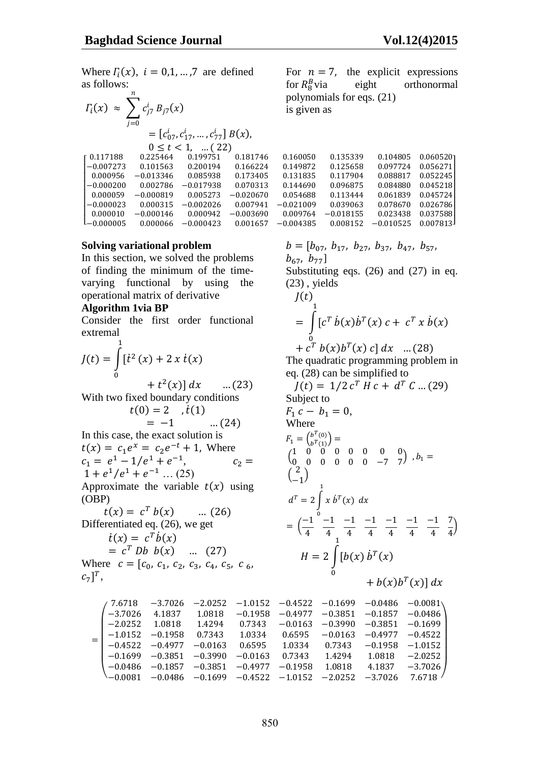Where  $\Gamma_i(x)$ ,  $i = 0, 1, ..., 7$  are defined as follows:

| $F_i(x) \approx \sum_{j=0}^{n} c_{j7}^i B_{j7}(x)$ | polynomials for eqs. (21) |             |            |            |            |            |            |
|----------------------------------------------------|---------------------------|-------------|------------|------------|------------|------------|------------|
| $= [c_{07}^i, c_{17}^i, ..., c_{77}^i] B(x),$      | $0 \le t < 1, ..., (22)$  |             |            |            |            |            |            |
| $-0.007273$                                        | $0.101563$                | $0.200194$  | $0.160224$ | $0.155339$ | $0.104805$ | $0.060520$ |            |
| $-0.007273$                                        | $0.101563$                | $0.200194$  | $0.166224$ | $0.149872$ | $0.125658$ | $0.097724$ | $0.056271$ |
| $0.000956$                                         | $-0.013346$               | $0.085938$  | $0.173405$ | $0.131835$ | $0.117904$ | $0.088817$ | $0.05274$  |
| $-0.000200$                                        | $0.002786$                | $-0.017938$ | $0.070313$ | $0.144690$ | <          |            |            |

#### **Solving variational problem**

In this section, we solved the problems of finding the minimum of the timevarying functional by using the operational matrix of derivative

#### **Algorithm 1via BP**

Consider the first order functional extremal

$$
J(t) = \int_{0}^{1} [t^{2}(x) + 2 x i(x) + t^{2}(x)] dx
$$
 ... (23)

With two fixed boundary conditions

$$
t(0) = 2, \quad t(1)
$$
  
= -1 \quad ...(24)  
the exact solution is

In this case, the exact solution is  $t(x) = c_1 e^x = c_2 e^{-t} + 1$ , Where  $c_1 = e^1 - 1/e^1 + e^{-1}$ ,  $c_2 =$  $1 + e^{1}/e^{1} + e^{-1}$  ... (25)

Approximate the variable  $t(x)$  using (OBP)

 $t(x) = c^T b(x)$  $\dots (26)$ Differentiated eq. (26), we get  $\dot{t}(x) = c^T \dot{b}(x)$  $= c^T Db b(x)$  ... (27) Where  $c = [c_0, c_1, c_2, c_3, c_4, c_5, c_6,$ 

 $c_7$ <sup>T</sup>,

For  $n = 7$ , the explicit expressions for  $R_8^B$ eight orthonormal polynomials for eqs. (21) is given as

| 0.160050    | 0.135339    | 0.104805  | 0.060520 |
|-------------|-------------|-----------|----------|
| 0.149872    | 0.125658    | 0.097724  | 0.056271 |
| 0.131835    | 0.117904    | 0.088817  | 0.052245 |
| 0.144690    | 0.096875    | 0.084880  | 0.045218 |
| 0.054688    | 0.113444    | 0.061839  | 0.045724 |
| $-0.021009$ | 0.039063    | 0.078670  | 0.026786 |
| 0.009764    | $-0.018155$ | 0.023438  | 0.037588 |
| $-0.004385$ | 0.008152    | -0.010525 | 0.007813 |

$$
b = [b_{07}, b_{17}, b_{27}, b_{37}, b_{47}, b_{57},
$$
  
\n
$$
b_{67}, b_{77}]
$$
  
\nSubstituting eqs. (26) and (27) in eq.  
\n(23), yields  
\n
$$
J(t)
$$
\n
$$
= \int_{0}^{1} [c^T \dot{b}(x) \dot{b}^T(x) c + c^T x \dot{b}(x) + c^T b(x) b^T(x) c] dx \dots (28)
$$
\nThe quadratic programming problem in

The quadratic programming problem in eq. (28) can be simplified to

$$
J(t) = 1/2 cT H c + dT C ... (29)
$$
  
Subject to  
F<sub>1</sub> c - b<sub>1</sub> = 0,  
Where  
F<sub>1</sub> =  $\binom{b^T(0)}{b^T(1)}$  =  
 $\binom{1}{0} 0 0 0 0 0 0 0$   
 $\binom{2}{-1}$   
 $dT = 2 \int_{1}^{1} x bT(x) dx$   
=  $\left(\frac{-1}{4} \bigg|_{1}^{0} \frac{-1}{4} \frac{-1}{4} \frac{-1}{4} \frac{-1}{4} \frac{-1}{4} \frac{-1}{4} \frac{7}{4} \right)$   
 $H = 2 \int_{0}^{1} [b(x) bT(x) + b(x) bT(x)] dx$ 

|  |  |  | $\gamma$ 7.6718 $\,$ $-3.7026$ $\,$ $-2.0252$ $\,$ $-1.0152$ $\,$ $-0.4522$ $\,$ $-0.1699$ $\,$ $-0.0486$ $\,$ $-0.0081\gamma$ |  |
|--|--|--|--------------------------------------------------------------------------------------------------------------------------------|--|
|  |  |  | $-3.7026$ 4.1837 1.0818 $-0.1958$ $-0.4977$ $-0.3851$ $-0.1857$ $-0.0486$                                                      |  |
|  |  |  | $-2.0252$ 1.0818 1.4294 0.7343 $-0.0163$ $-0.3990$ $-0.3851$ $-0.1699$                                                         |  |
|  |  |  | $-1.0152$ $-0.1958$ 0.7343 1.0334 0.6595 $-0.0163$ $-0.4977$ $-0.4522$                                                         |  |
|  |  |  | $-0.4522$ $-0.4977$ $-0.0163$ $0.6595$ $1.0334$ $0.7343$ $-0.1958$ $-1.0152$                                                   |  |
|  |  |  | $-0.1699$ $-0.3851$ $-0.3990$ $-0.0163$ $0.7343$ $1.4294$ $1.0818$ $-2.0252$                                                   |  |
|  |  |  | $-0.0486$ $-0.1857$ $-0.3851$ $-0.4977$ $-0.1958$ $1.0818$ $4.1837$ $-3.7026$                                                  |  |
|  |  |  | $\{-0.0081$ -0.0486 -0.1699 -0.4522 -1.0152 -2.0252 -3.7026 7.6718 <sup>/</sup>                                                |  |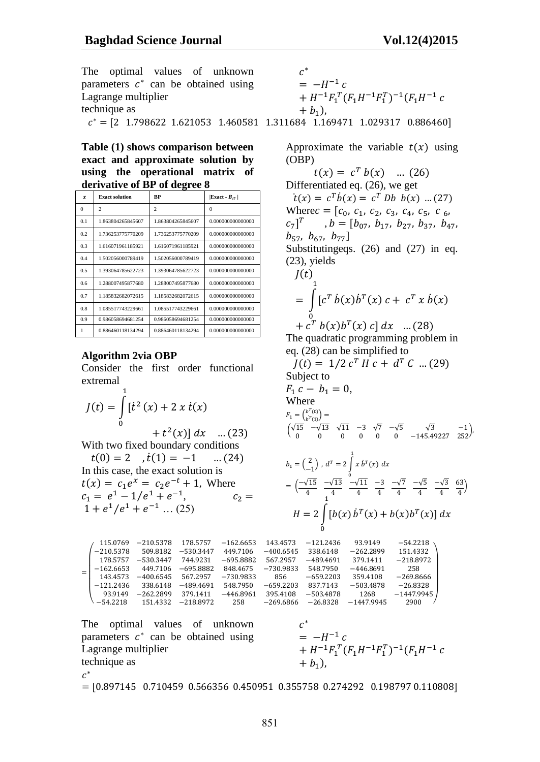The optimal values of unknown parameters  $c^*$  can be obtained using Lagrange multiplier

technique as

 $c^* = [2 \t1.798622 \t1.621053 \t1.460581 \t1.311684 \t1.169471 \t1.029317 \t0.886460]$ 

**Table (1) shows comparison between exact and approximate solution by using the operational matrix of derivative of BP of degree 8**

| x        | <b>Exact solution</b> | ВP                | $\vert$ Exact - $B_{17} \vert$ |
|----------|-----------------------|-------------------|--------------------------------|
| $\Omega$ | 2                     | 2                 | $\Omega$                       |
| 0.1      | 1.863804265845607     | 1.863804265845607 | 0.000000000000000              |
| 0.2      | 1.736253775770209     | 1.736253775770209 | 0.000000000000000              |
| 0.3      | 1.616071961185921     | 1.616071961185921 | 0.000000000000000              |
| 0.4      | 1.502056000789419     | 1.502056000789419 | 0.000000000000000              |
| 0.5      | 1.393064785622723     | 1.393064785622723 | 0.000000000000000              |
| 0.6      | 1.288007495877680     | 1.288007495877680 | 0.000000000000000              |
| 0.7      | 1.185832682072615     | 1.185832682072615 | 0.000000000000000              |
| 0.8      | 1.085517743229661     | 1.085517743229661 | 0.000000000000000              |
| 0.9      | 0.986058694681254     | 0.986058694681254 | 0.000000000000000              |
| 1        | 0.886460118134294     | 0.886460118134294 | 0.000000000000000              |

#### **Algorithm 2via OBP**

Consider the first order functional extremal

$$
J(t) = \int_{0}^{1} [t^{2}(x) + 2 x t(x) + t^{2}(x)] dx \dots (23)
$$

With two fixed boundary conditions

|                                           | $t(0) = 2$ , $\dot{t}(1) = -1$ (24) |         |
|-------------------------------------------|-------------------------------------|---------|
| In this case, the exact solution is       |                                     |         |
| $t(x) = c_1 e^x = c_2 e^{-t} + 1$ , Where |                                     |         |
| $c_1 = e^1 - 1/e^1 + e^{-1}$ ,            |                                     | $c_2 =$ |
| $1+e^{1}/e^{1}+e^{-1}$ (25)               |                                     |         |

$$
c^*
$$
  
= -H<sup>-1</sup> c  
+ H<sup>-1</sup>F<sub>1</sub><sup>T</sup>(F<sub>1</sub>H<sup>-1</sup>F<sub>1</sub><sup>T</sup>)<sup>-1</sup>(F<sub>1</sub>H<sup>-1</sup> c  
+ b<sub>1</sub>),

Approximate the variable  $t(x)$  using (OBP)

 $t(x) = c^T b(x)$  ... (26) Differentiated eq. (26), we get  $t(x) = c^T b(x) = c^T Db b(x) ... (27)$ Where  $c = [c_0, c_1, c_2, c_3, c_4, c_5, c_6, c_7]$  $[c_7]^T$ ,  $b = [b]$  $b_{57}, b_{67}, b_{77}]$ Substituting eqs. (26) and (27) in eq. (23), yields  $I(t)$ 

$$
= \int_{0}^{1} [c^{T} \dot{b}(x) \dot{b}^{T}(x) c + c^{T} x \dot{b}(x)]
$$

 $+ c^T b(x) b^T(x) c dx$  ... (28) The quadratic programming problem in eq. (28) can be simplified to

 ( ) ⁄ ( ) Subject to , Where . ( ) ̇ ( ) / ( √ √ √ √ √ √ ) . / ∫ ̇ ( ) ( √ √ √ √ √ √ ) ∫, ( ) ̇ ( ) ( ) ( )- 

$$
\begin{array}{cccccc} & & & & & & 0 & \\ 115.0769 & -210.5378 & 178.5757 & -162.6653 & 143.4573 & -121.2436 & 93.9149 & -54.2218 \\ 210.5378 & 509.8182 & -530.3447 & 449.7106 & -400.6545 & 338.6148 & -262.2899 & 151.4332 \\ 178.5757 & -530.3447 & 744.9231 & -695.8882 & 567.2957 & -489.4691 & 379.1411 & -218.8972 \\ 162.6653 & 449.7106 & -695.8882 & 848.4675 & -730.9833 & 548.7950 & -446.8691 & 258 \\ 143.4573 & -400.6545 & 567.2957 & -730.9833 & 856 & -659.2203 & 359.4108 & -269.8666 \\ 121.2436 & 338.6148 & -489.4691 & 548.7950 & -659.2203 & 837.7143 & -503.4878 & -26.8328 \\ 93.9149 & -262.2899 & 379.1411 & -446.8961 & 395.4108 & -503.4878 & 1268 & -1447.9945 \\ -54.2218 & 151.4332 & -218.8972 & 258 & -269.6866 & -26.8328 & -1447.9945 & 2900 \end{array}
$$

The optimal values of unknown parameters  $c^*$  can be obtained using Lagrange multiplier technique as

$$
c^*
$$
  
= -H<sup>-1</sup> c  
+ H<sup>-1</sup>F<sub>1</sub><sup>T</sup>(F<sub>1</sub>H<sup>-1</sup>F<sub>1</sub><sup>T</sup>)<sup>-1</sup>(F<sub>1</sub>H<sup>-1</sup> c  
+ b<sub>1</sub>),

 $c^*$ 

 $=$ 

 $\overline{\phantom{0}}$ L L Ł Ł L

 $\overline{\phantom{0}}$ 

 $\overline{\phantom{0}}$ 

 $\overline{\phantom{0}}$ 

 $=[0.897145 \t 0.710459 \t 0.566356 \t 0.450951 \t 0.355758 \t 0.274292 \t 0.198797 \t 0.110808]$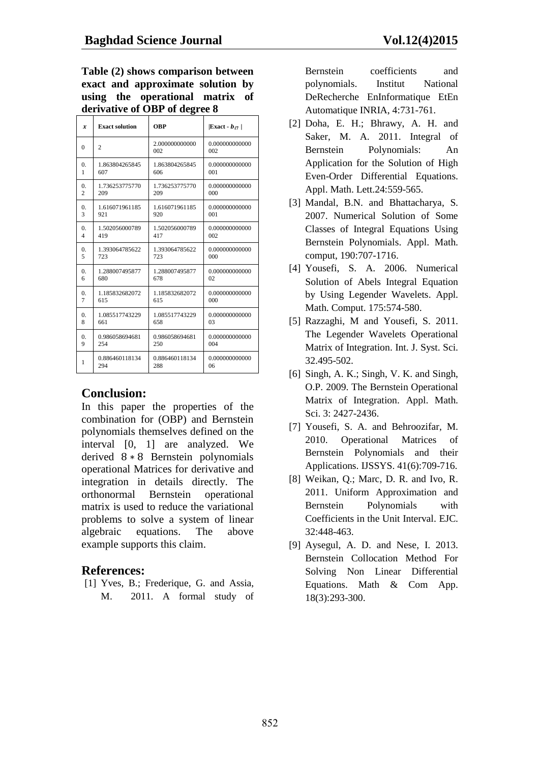**Table (2) shows comparison between exact and approximate solution by using the operational matrix of derivative of OBP of degree 8**

| x              | <b>Exact solution</b> | <b>OBP</b>            | $\vert$ Exact - $b_{i7} \vert$ |
|----------------|-----------------------|-----------------------|--------------------------------|
| $\theta$       | $\overline{2}$        | 2.000000000000<br>002 | 0.000000000000<br>002          |
| $\Omega$ .     | 1.863804265845        | 1.863804265845        | 0.000000000000                 |
| 1              | 607                   | 606                   | 001                            |
| $\Omega$ .     | 1.736253775770        | 1.736253775770        | 0.000000000000                 |
| $\mathfrak{D}$ | 209                   | 209                   | 000                            |
| $\Omega$ .     | 1.616071961185        | 1.616071961185        | 0.000000000000                 |
| 3              | 921                   | 920                   | 001                            |
| $\Omega$ .     | 1.502056000789        | 1.502056000789        | 0.000000000000                 |
| 4              | 419                   | 417                   | 002                            |
| $\Omega$ .     | 1.393064785622        | 1.393064785622        | 0.000000000000                 |
| 5              | 723                   | 723                   | 000                            |
| $\Omega$ .     | 1.288007495877        | 1.288007495877        | 0.000000000000                 |
| 6              | 680                   | 678                   | 02                             |
| $\Omega$ .     | 1.185832682072        | 1.185832682072        | 0.000000000000                 |
| 7              | 615                   | 615                   | 000                            |
| $\Omega$ .     | 1.085517743229        | 1.085517743229        | 0.000000000000                 |
| 8              | 661                   | 658                   | 03                             |
| $\Omega$ .     | 0.986058694681        | 0.986058694681        | 0.000000000000                 |
| 9              | 254                   | 250                   | 004                            |
| 1              | 0.886460118134        | 0.886460118134        | 0.000000000000                 |
|                | 294                   | 288                   | 06                             |

### **Conclusion:**

In this paper the properties of the combination for (OBP) and Bernstein polynomials themselves defined on the interval [0, 1] are analyzed. We derived  $8 * 8$  Bernstein polynomials operational Matrices for derivative and integration in details directly. The orthonormal Bernstein operational matrix is used to reduce the variational problems to solve a system of linear algebraic equations. The above example supports this claim.

### **References:**

[1] Yves, B.; Frederique, G. and Assia, M. 2011. A formal study of Bernstein coefficients and polynomials. Institut National DeRecherche EnInformatique EtEn Automatique INRIA, 4:731-761.

- [2] Doha, E. H.; Bhrawy, A. H. and Saker, M. A. 2011. Integral of Bernstein Polynomials: An Application for the Solution of High Even-Order Differential Equations. Appl. Math. Lett.24:559-565.
- [3] Mandal, B.N. and Bhattacharya, S. 2007. Numerical Solution of Some Classes of Integral Equations Using Bernstein Polynomials. Appl. Math. comput, 190:707-1716.
- [4] Yousefi, S. A. 2006. Numerical Solution of Abels Integral Equation by Using Legender Wavelets. Appl. Math. Comput. 175:574-580.
- [5] Razzaghi, M and Yousefi, S. 2011. The Legender Wavelets Operational Matrix of Integration. Int. J. Syst. Sci. 32.495-502.
- [6] Singh, A. K.; Singh, V. K. and Singh, O.P. 2009. The Bernstein Operational Matrix of Integration. Appl. Math. Sci. 3: 2427-2436.
- [7] Yousefi, S. A. and Behroozifar, M. 2010. Operational Matrices of Bernstein Polynomials and their Applications. IJSSYS. 41(6):709-716.
- [8] Weikan, Q.; Marc, D. R. and Ivo, R. 2011. Uniform Approximation and Bernstein Polynomials with Coefficients in the Unit Interval. EJC. 32:448-463.
- [9] Aysegul, A. D. and Nese, I. 2013. Bernstein Collocation Method For Solving Non Linear Differential Equations. Math & Com App. 18(3):293-300.